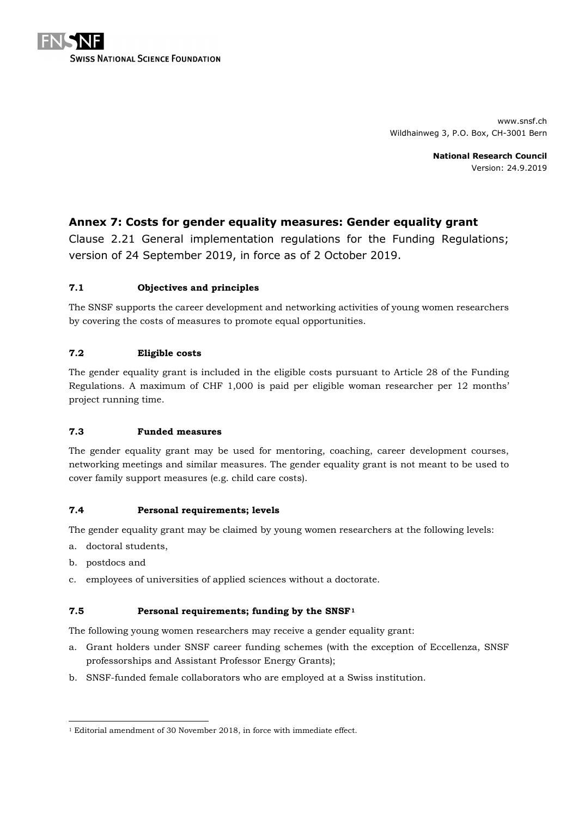

www.snsf.ch Wildhainweg 3, P.O. Box, CH-3001 Bern

> **National Research Council** Version: 24.9.2019

# **Annex 7: Costs for gender equality measures: Gender equality grant**

Clause 2.21 General implementation regulations for the Funding Regulations; version of 24 September 2019, in force as of 2 October 2019.

### **7.1 Objectives and principles**

The SNSF supports the career development and networking activities of young women researchers by covering the costs of measures to promote equal opportunities.

### **7.2 Eligible costs**

The gender equality grant is included in the eligible costs pursuant to Article 28 of the Funding Regulations. A maximum of CHF 1,000 is paid per eligible woman researcher per 12 months' project running time.

### **7.3 Funded measures**

The gender equality grant may be used for mentoring, coaching, career development courses, networking meetings and similar measures. The gender equality grant is not meant to be used to cover family support measures (e.g. child care costs).

### **7.4 Personal requirements; levels**

The gender equality grant may be claimed by young women researchers at the following levels:

- a. doctoral students,
- b. postdocs and
- c. employees of universities of applied sciences without a doctorate.

#### **7.5 Personal requirements; funding by the SNSF[1](#page-0-0)**

The following young women researchers may receive a gender equality grant:

- a. Grant holders under SNSF career funding schemes (with the exception of Eccellenza, SNSF professorships and Assistant Professor Energy Grants);
- b. SNSF-funded female collaborators who are employed at a Swiss institution.

<span id="page-0-0"></span><sup>-</sup><sup>1</sup> Editorial amendment of 30 November 2018, in force with immediate effect.